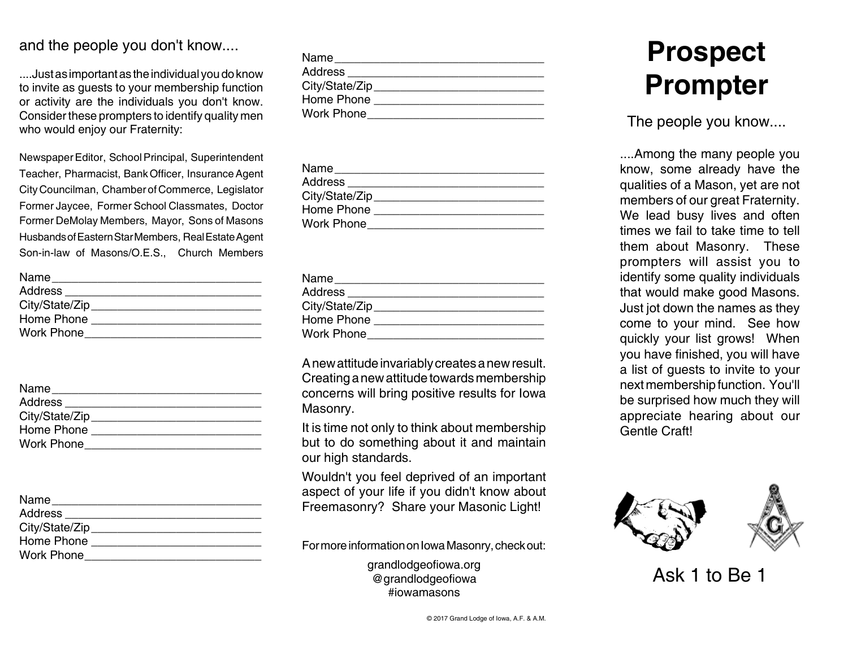## and the people you don't know....

....Just as important as the individual you do know to invite as guests to your membership function or activity are the individuals you don't know. Consider these prompters to identify quality men who would enjoy our Fraternity:

Newspaper Editor, School Principal, Superintendent Teacher, Pharmacist, Bank Officer, Insurance Agent City Councilman, Chamber of Commerce, Legislator Former Jaycee, Former School Classmates, Doctor Former DeMolay Members, Mayor, Sons of Masons HusbandsofEasternStarMembers, RealEstateAgent Son-in-law of Masons/O.E.S., Church Members

| Name              |  |
|-------------------|--|
| Address           |  |
| City/State/Zip    |  |
| Home Phone        |  |
| <b>Work Phone</b> |  |

| Name              |  |
|-------------------|--|
| Address           |  |
| City/State/Zip    |  |
| Home Phone        |  |
| <b>Work Phone</b> |  |

Name\_\_\_\_\_\_\_\_\_\_\_\_\_\_\_\_\_\_\_\_\_\_\_\_\_\_\_\_\_\_\_\_ Address \_\_\_\_\_\_\_\_\_\_\_\_\_\_\_\_\_\_\_\_\_\_\_\_\_\_\_\_\_\_ City/State/Zip\_\_\_\_\_\_\_\_\_\_\_\_\_\_\_\_\_\_\_\_\_\_\_\_\_\_

Home Phone \_\_\_\_\_\_\_\_\_\_\_\_\_\_\_\_\_\_\_\_\_\_\_\_\_\_

Work Phone\_\_\_\_\_\_\_\_\_\_\_\_\_\_\_\_\_\_\_\_\_\_\_\_\_\_\_

| Name            |  |
|-----------------|--|
| Address         |  |
| City/State/Zip_ |  |
| Home Phone      |  |
| Work Phone      |  |

| Name              |  |
|-------------------|--|
| Address           |  |
| City/State/Zip    |  |
| Home Phone        |  |
| <b>Work Phone</b> |  |

| Name              |  |
|-------------------|--|
| Address           |  |
| City/State/Zip    |  |
| Home Phone        |  |
| <b>Work Phone</b> |  |

Anewattitudeinvariablycreatesanewresult. Creating a new attitude towards membership concerns will bring positive results for Iowa Masonry.

It is time not only to think about membership but to do something about it and maintain our high standards.

Wouldn't you feel deprived of an important aspect of your life if you didn't know about Freemasonry? Share your Masonic Light!

For more information on Iowa Masonry, check out:

grandlodgeofiowa.org @grandlodgeofiowa #iowamasons

## **Prospect Prompter**

The people you know....

....Among the many people you know, some already have the qualities of a Mason, yet are not members of our great Fraternity. We lead busy lives and often times we fail to take time to tell them about Masonry. These prompters will assist you to identify some quality individuals that would make good Masons. Just jot down the names as they come to your mind. See how quickly your list grows! When you have finished, you will have a list of guests to invite to your nextmembershipfunction. You'll be surprised how much they will appreciate hearing about our Gentle Craft!



Ask 1 to Be 1